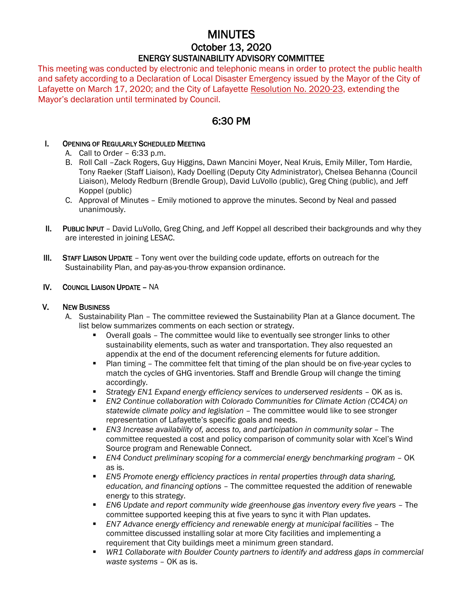# MINUTES October 13, 2020 ENERGY SUSTAINABILITY ADVISORY COMMITTEE

This meeting was conducted by electronic and telephonic means in order to protect the public health and safety according to a Declaration of Local Disaster Emergency issued by the Mayor of the City of Lafayette on March 17, 2020; and the City of Lafayette Resolution No. 2020-23, extending the Mayor's declaration until terminated by Council.

# 6:30 PM

## I. OPENING OF REGULARLY SCHEDULED MEETING

- A. Call to Order 6:33 p.m.
- B. Roll Call –Zack Rogers, Guy Higgins, Dawn Mancini Moyer, Neal Kruis, Emily Miller, Tom Hardie, Tony Raeker (Staff Liaison), Kady Doelling (Deputy City Administrator), Chelsea Behanna (Council Liaison), Melody Redburn (Brendle Group), David LuVollo (public), Greg Ching (public), and Jeff Koppel (public)
- C. Approval of Minutes Emily motioned to approve the minutes. Second by Neal and passed unanimously.
- II. PUBLIC INPUT David LuVollo, Greg Ching, and Jeff Koppel all described their backgrounds and why they are interested in joining LESAC.
- III. STAFF LIAISON UPDATE Tony went over the building code update, efforts on outreach for the Sustainability Plan, and pay-as-you-throw expansion ordinance.

### IV. COUNCIL LIAISON UPDATE – NA

#### V. NEW BUSINESS

- A. Sustainability Plan The committee reviewed the Sustainability Plan at a Glance document. The list below summarizes comments on each section or strategy.
	- Overall goals The committee would like to eventually see stronger links to other sustainability elements, such as water and transportation. They also requested an appendix at the end of the document referencing elements for future addition.
	- Plan timing The committee felt that timing of the plan should be on five-year cycles to match the cycles of GHG inventories. Staff and Brendle Group will change the timing accordingly.
	- **EXECT** *Strategy EN1 Expand energy efficiency services to underserved residents* **OK as is.**
	- *EN2 Continue collaboration with Colorado Communities for Climate Action (CC4CA) on statewide climate policy and legislation* – The committee would like to see stronger representation of Lafayette's specific goals and needs.
	- **EN3** Increase availability of, access to, and participation in community solar The committee requested a cost and policy comparison of community solar with Xcel's Wind Source program and Renewable Connect.
	- *EN4 Conduct preliminary scoping for a commercial energy benchmarking program* OK as is.
	- *EN5 Promote energy efficiency practices in rental properties through data sharing, education, and financing options* – The committee requested the addition of renewable energy to this strategy.
	- *EN6 Update and report community wide greenhouse gas inventory every five years* The committee supported keeping this at five years to sync it with Plan updates.
	- *EN7 Advance energy efficiency and renewable energy at municipal facilities* The committee discussed installing solar at more City facilities and implementing a requirement that City buildings meet a minimum green standard.
	- WR1 Collaborate with Boulder County partners to identify and address gaps in commercial *waste systems* – OK as is.